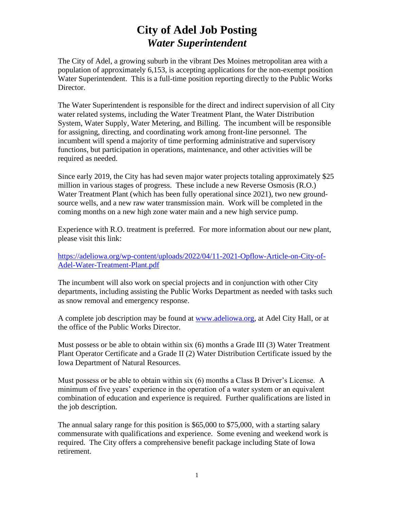# **City of Adel Job Posting** *Water Superintendent*

The City of Adel, a growing suburb in the vibrant Des Moines metropolitan area with a population of approximately 6,153, is accepting applications for the non-exempt position Water Superintendent. This is a full-time position reporting directly to the Public Works Director.

The Water Superintendent is responsible for the direct and indirect supervision of all City water related systems, including the Water Treatment Plant, the Water Distribution System, Water Supply, Water Metering, and Billing. The incumbent will be responsible for assigning, directing, and coordinating work among front-line personnel. The incumbent will spend a majority of time performing administrative and supervisory functions, but participation in operations, maintenance, and other activities will be required as needed.

Since early 2019, the City has had seven major water projects totaling approximately \$25 million in various stages of progress. These include a new Reverse Osmosis (R.O.) Water Treatment Plant (which has been fully operational since 2021), two new groundsource wells, and a new raw water transmission main. Work will be completed in the coming months on a new high zone water main and a new high service pump.

Experience with R.O. treatment is preferred. For more information about our new plant, please visit this link:

[https://adeliowa.org/wp-content/uploads/2022/04/11-2021-Opflow-Article-on-City-of-](https://adeliowa.org/wp-content/uploads/2022/04/11-2021-Opflow-Article-on-City-of-Adel-Water-Treatment-Plant.pdf)[Adel-Water-Treatment-Plant.pdf](https://adeliowa.org/wp-content/uploads/2022/04/11-2021-Opflow-Article-on-City-of-Adel-Water-Treatment-Plant.pdf)

The incumbent will also work on special projects and in conjunction with other City departments, including assisting the Public Works Department as needed with tasks such as snow removal and emergency response.

A complete job description may be found at [www.adeliowa.org,](http://www.adeliowa.org/) at Adel City Hall, or at the office of the Public Works Director.

Must possess or be able to obtain within six (6) months a Grade III (3) Water Treatment Plant Operator Certificate and a Grade II (2) Water Distribution Certificate issued by the Iowa Department of Natural Resources.

Must possess or be able to obtain within six (6) months a Class B Driver's License. A minimum of five years' experience in the operation of a water system or an equivalent combination of education and experience is required. Further qualifications are listed in the job description.

The annual salary range for this position is \$65,000 to \$75,000, with a starting salary commensurate with qualifications and experience. Some evening and weekend work is required. The City offers a comprehensive benefit package including State of Iowa retirement.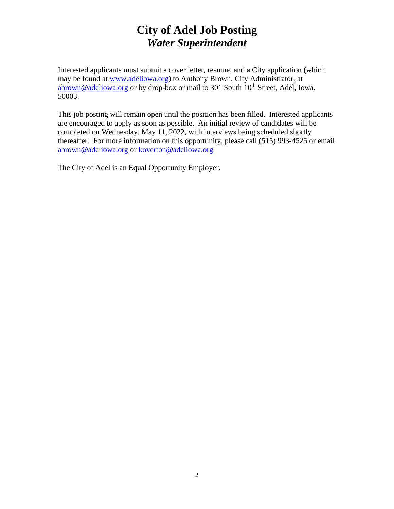# **City of Adel Job Posting** *Water Superintendent*

Interested applicants must submit a cover letter, resume, and a City application (which may be found at [www.adeliowa.org\)](http://www.adeliowa.org/) to Anthony Brown, City Administrator, at  $\frac{abrown@addeliowa.org}{abrown@addeliowa.org}$  or by drop-box or mail to 301 South 10<sup>th</sup> Street, Adel, Iowa, 50003.

This job posting will remain open until the position has been filled. Interested applicants are encouraged to apply as soon as possible. An initial review of candidates will be completed on Wednesday, May 11, 2022, with interviews being scheduled shortly thereafter. For more information on this opportunity, please call (515) 993-4525 or email [abrown@adeliowa.org](mailto:abrown@adeliowa.org) or [koverton@adeliowa.org](mailto:koverton@adeliowa.org)

The City of Adel is an Equal Opportunity Employer.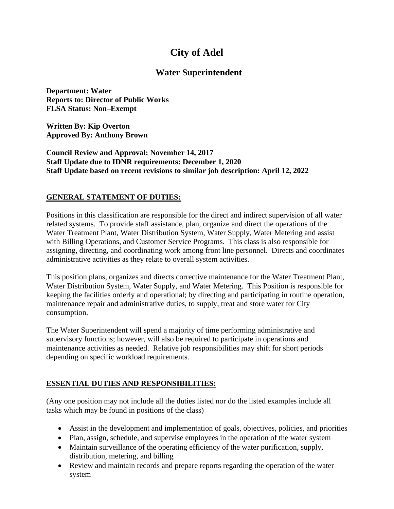# **City of Adel**

# **Water Superintendent**

**Department: Water Reports to: Director of Public Works FLSA Status: Non–Exempt**

**Written By: Kip Overton Approved By: Anthony Brown**

**Council Review and Approval: November 14, 2017 Staff Update due to IDNR requirements: December 1, 2020 Staff Update based on recent revisions to similar job description: April 12, 2022**

#### **GENERAL STATEMENT OF DUTIES:**

Positions in this classification are responsible for the direct and indirect supervision of all water related systems. To provide staff assistance, plan, organize and direct the operations of the Water Treatment Plant, Water Distribution System, Water Supply, Water Metering and assist with Billing Operations, and Customer Service Programs. This class is also responsible for assigning, directing, and coordinating work among front line personnel. Directs and coordinates administrative activities as they relate to overall system activities.

This position plans, organizes and directs corrective maintenance for the Water Treatment Plant, Water Distribution System, Water Supply, and Water Metering. This Position is responsible for keeping the facilities orderly and operational; by directing and participating in routine operation, maintenance repair and administrative duties, to supply, treat and store water for City consumption.

The Water Superintendent will spend a majority of time performing administrative and supervisory functions; however, will also be required to participate in operations and maintenance activities as needed. Relative job responsibilities may shift for short periods depending on specific workload requirements.

### **ESSENTIAL DUTIES AND RESPONSIBILITIES:**

(Any one position may not include all the duties listed nor do the listed examples include all tasks which may be found in positions of the class)

- Assist in the development and implementation of goals, objectives, policies, and priorities
- Plan, assign, schedule, and supervise employees in the operation of the water system
- Maintain surveillance of the operating efficiency of the water purification, supply, distribution, metering, and billing
- Review and maintain records and prepare reports regarding the operation of the water system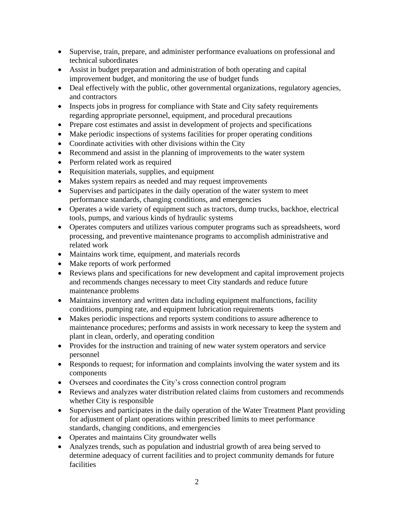- Supervise, train, prepare, and administer performance evaluations on professional and technical subordinates
- Assist in budget preparation and administration of both operating and capital improvement budget, and monitoring the use of budget funds
- Deal effectively with the public, other governmental organizations, regulatory agencies, and contractors
- Inspects jobs in progress for compliance with State and City safety requirements regarding appropriate personnel, equipment, and procedural precautions
- Prepare cost estimates and assist in development of projects and specifications
- Make periodic inspections of systems facilities for proper operating conditions
- Coordinate activities with other divisions within the City
- Recommend and assist in the planning of improvements to the water system
- Perform related work as required
- Requisition materials, supplies, and equipment
- Makes system repairs as needed and may request improvements
- Supervises and participates in the daily operation of the water system to meet performance standards, changing conditions, and emergencies
- Operates a wide variety of equipment such as tractors, dump trucks, backhoe, electrical tools, pumps, and various kinds of hydraulic systems
- Operates computers and utilizes various computer programs such as spreadsheets, word processing, and preventive maintenance programs to accomplish administrative and related work
- Maintains work time, equipment, and materials records
- Make reports of work performed
- Reviews plans and specifications for new development and capital improvement projects and recommends changes necessary to meet City standards and reduce future maintenance problems
- Maintains inventory and written data including equipment malfunctions, facility conditions, pumping rate, and equipment lubrication requirements
- Makes periodic inspections and reports system conditions to assure adherence to maintenance procedures; performs and assists in work necessary to keep the system and plant in clean, orderly, and operating condition
- Provides for the instruction and training of new water system operators and service personnel
- Responds to request; for information and complaints involving the water system and its components
- Oversees and coordinates the City's cross connection control program
- Reviews and analyzes water distribution related claims from customers and recommends whether City is responsible
- Supervises and participates in the daily operation of the Water Treatment Plant providing for adjustment of plant operations within prescribed limits to meet performance standards, changing conditions, and emergencies
- Operates and maintains City groundwater wells
- Analyzes trends, such as population and industrial growth of area being served to determine adequacy of current facilities and to project community demands for future facilities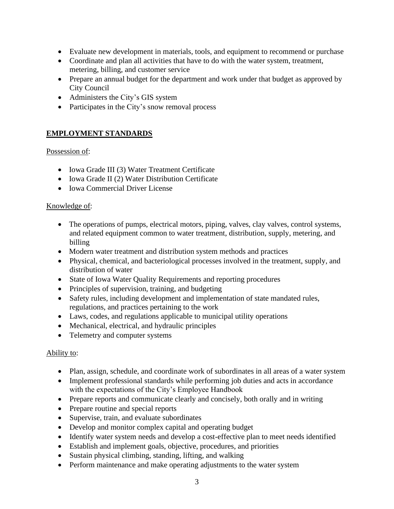- Evaluate new development in materials, tools, and equipment to recommend or purchase
- Coordinate and plan all activities that have to do with the water system, treatment, metering, billing, and customer service
- Prepare an annual budget for the department and work under that budget as approved by City Council
- Administers the City's GIS system
- Participates in the City's snow removal process

### **EMPLOYMENT STANDARDS**

#### Possession of:

- Iowa Grade III (3) Water Treatment Certificate
- Iowa Grade II (2) Water Distribution Certificate
- Iowa Commercial Driver License

#### Knowledge of:

- The operations of pumps, electrical motors, piping, valves, clay valves, control systems, and related equipment common to water treatment, distribution, supply, metering, and billing
- Modern water treatment and distribution system methods and practices
- Physical, chemical, and bacteriological processes involved in the treatment, supply, and distribution of water
- State of Iowa Water Quality Requirements and reporting procedures
- Principles of supervision, training, and budgeting
- Safety rules, including development and implementation of state mandated rules, regulations, and practices pertaining to the work
- Laws, codes, and regulations applicable to municipal utility operations
- Mechanical, electrical, and hydraulic principles
- Telemetry and computer systems

#### Ability to:

- Plan, assign, schedule, and coordinate work of subordinates in all areas of a water system
- Implement professional standards while performing job duties and acts in accordance with the expectations of the City's Employee Handbook
- Prepare reports and communicate clearly and concisely, both orally and in writing
- Prepare routine and special reports
- Supervise, train, and evaluate subordinates
- Develop and monitor complex capital and operating budget
- Identify water system needs and develop a cost-effective plan to meet needs identified
- Establish and implement goals, objective, procedures, and priorities
- Sustain physical climbing, standing, lifting, and walking
- Perform maintenance and make operating adjustments to the water system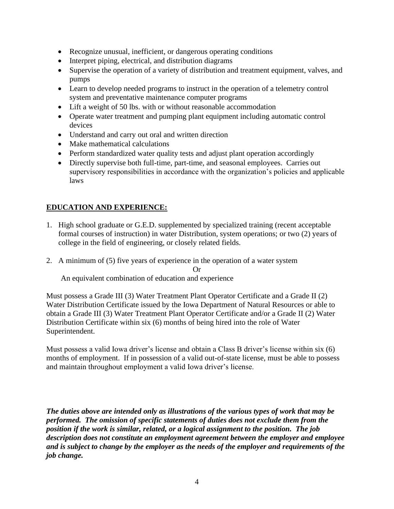- Recognize unusual, inefficient, or dangerous operating conditions
- Interpret piping, electrical, and distribution diagrams
- Supervise the operation of a variety of distribution and treatment equipment, valves, and pumps
- Learn to develop needed programs to instruct in the operation of a telemetry control system and preventative maintenance computer programs
- Lift a weight of 50 lbs. with or without reasonable accommodation
- Operate water treatment and pumping plant equipment including automatic control devices
- Understand and carry out oral and written direction
- Make mathematical calculations
- Perform standardized water quality tests and adjust plant operation accordingly
- Directly supervise both full-time, part-time, and seasonal employees. Carries out supervisory responsibilities in accordance with the organization's policies and applicable laws

## **EDUCATION AND EXPERIENCE:**

- 1. High school graduate or G.E.D. supplemented by specialized training (recent acceptable formal courses of instruction) in water Distribution, system operations; or two (2) years of college in the field of engineering, or closely related fields.
- 2. A minimum of (5) five years of experience in the operation of a water system

Or

An equivalent combination of education and experience

Must possess a Grade III (3) Water Treatment Plant Operator Certificate and a Grade II (2) Water Distribution Certificate issued by the Iowa Department of Natural Resources or able to obtain a Grade III (3) Water Treatment Plant Operator Certificate and/or a Grade II (2) Water Distribution Certificate within six (6) months of being hired into the role of Water Superintendent.

Must possess a valid Iowa driver's license and obtain a Class B driver's license within six (6) months of employment. If in possession of a valid out-of-state license, must be able to possess and maintain throughout employment a valid Iowa driver's license.

*The duties above are intended only as illustrations of the various types of work that may be performed. The omission of specific statements of duties does not exclude them from the position if the work is similar, related, or a logical assignment to the position. The job description does not constitute an employment agreement between the employer and employee and is subject to change by the employer as the needs of the employer and requirements of the job change.*